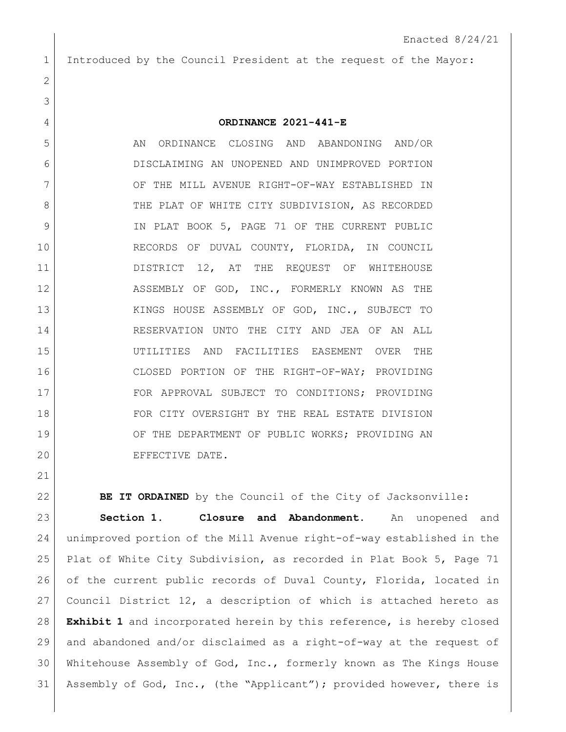Introduced by the Council President at the request of the Mayor:

## **ORDINANCE 2021-441-E**

5 AN ORDINANCE CLOSING AND ABANDONING AND/OR DISCLAIMING AN UNOPENED AND UNIMPROVED PORTION 7 OF THE MILL AVENUE RIGHT-OF-WAY ESTABLISHED IN 8 THE PLAT OF WHITE CITY SUBDIVISION, AS RECORDED 9 IN PLAT BOOK 5, PAGE 71 OF THE CURRENT PUBLIC RECORDS OF DUVAL COUNTY, FLORIDA, IN COUNCIL 11 DISTRICT 12, AT THE REQUEST OF WHITEHOUSE 12 ASSEMBLY OF GOD, INC., FORMERLY KNOWN AS THE 13 KINGS HOUSE ASSEMBLY OF GOD, INC., SUBJECT TO RESERVATION UNTO THE CITY AND JEA OF AN ALL UTILITIES AND FACILITIES EASEMENT OVER THE 16 CLOSED PORTION OF THE RIGHT-OF-WAY; PROVIDING FOR APPROVAL SUBJECT TO CONDITIONS; PROVIDING FOR CITY OVERSIGHT BY THE REAL ESTATE DIVISION 19 OF THE DEPARTMENT OF PUBLIC WORKS; PROVIDING AN EFFECTIVE DATE.

**BE IT ORDAINED** by the Council of the City of Jacksonville: **Section 1. Closure and Abandonment.** An unopened and unimproved portion of the Mill Avenue right-of-way established in the Plat of White City Subdivision, as recorded in Plat Book 5, Page 71 of the current public records of Duval County, Florida, located in Council District 12, a description of which is attached hereto as **Exhibit 1** and incorporated herein by this reference, is hereby closed and abandoned and/or disclaimed as a right-of-way at the request of Whitehouse Assembly of God, Inc., formerly known as The Kings House Assembly of God, Inc., (the "Applicant"); provided however, there is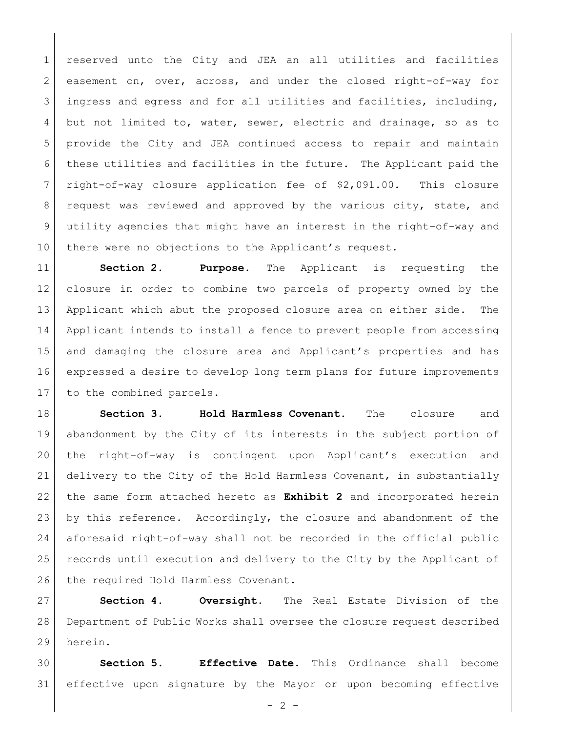reserved unto the City and JEA an all utilities and facilities 2 easement on, over, across, and under the closed right-of-way for 3 ingress and egress and for all utilities and facilities, including, but not limited to, water, sewer, electric and drainage, so as to provide the City and JEA continued access to repair and maintain these utilities and facilities in the future. The Applicant paid the right-of-way closure application fee of \$2,091.00. This closure 8 request was reviewed and approved by the various city, state, and utility agencies that might have an interest in the right-of-way and 10 there were no objections to the Applicant's request.

 **Section 2. Purpose.** The Applicant is requesting the closure in order to combine two parcels of property owned by the Applicant which abut the proposed closure area on either side. The Applicant intends to install a fence to prevent people from accessing and damaging the closure area and Applicant's properties and has expressed a desire to develop long term plans for future improvements 17 to the combined parcels.

 **Section 3. Hold Harmless Covenant.** The closure and abandonment by the City of its interests in the subject portion of the right-of-way is contingent upon Applicant's execution and delivery to the City of the Hold Harmless Covenant, in substantially the same form attached hereto as **Exhibit 2** and incorporated herein by this reference. Accordingly, the closure and abandonment of the aforesaid right-of-way shall not be recorded in the official public records until execution and delivery to the City by the Applicant of 26 the required Hold Harmless Covenant.

 **Section 4. Oversight.** The Real Estate Division of the Department of Public Works shall oversee the closure request described herein.

 **Section 5. Effective Date.** This Ordinance shall become effective upon signature by the Mayor or upon becoming effective

 $-2 -$